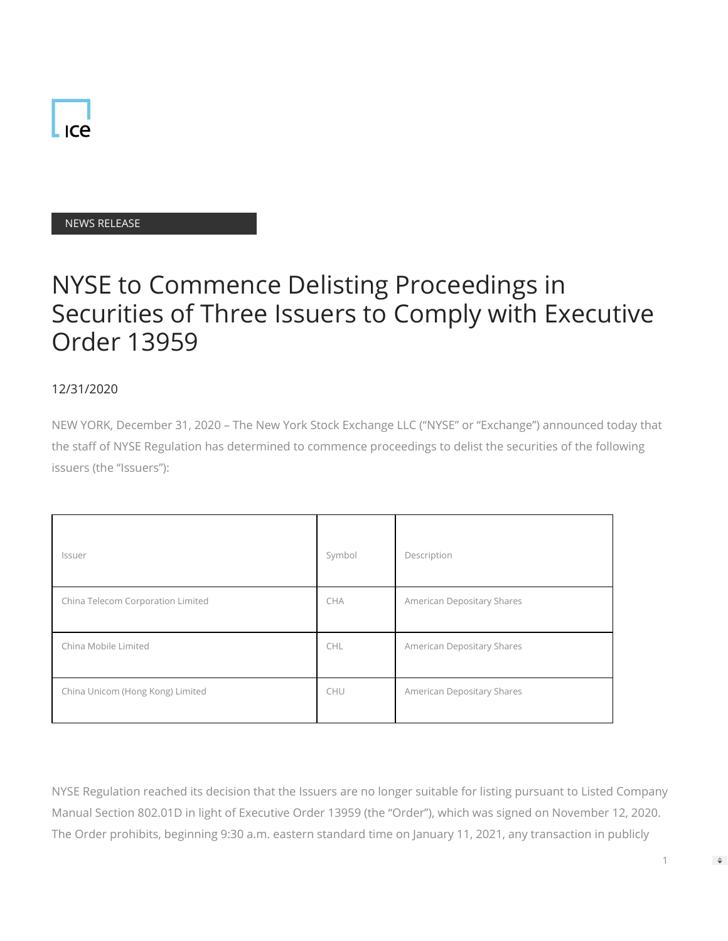

## NEWS RELEASE

## NYSE to Commence Delisting Proceedings in Securities of Three Issuers to Comply with Executive Order 13959

## 12/31/2020

NEW YORK, December 31, 2020 – The New York Stock Exchange LLC ("NYSE" or "Exchange") announced today that the staff of NYSE Regulation has determined to commence proceedings to delist the securities of the following issuers (the "Issuers"):

| <i>Issuer</i>                     | Symbol     | Description                |
|-----------------------------------|------------|----------------------------|
| China Telecom Corporation Limited | <b>CHA</b> | American Depositary Shares |
| China Mobile Limited              | <b>CHL</b> | American Depositary Shares |
| China Unicom (Hong Kong) Limited  | CHU        | American Depositary Shares |

NYSE Regulation reached its decision that the Issuers are no longer suitable for listing pursuant to Listed Company Manual Section 802.01D in light of Executive Order 13959 (the "Order"), which was signed on November 12, 2020. The Order prohibits, beginning 9:30 a.m. eastern standard time on January 11, 2021, any transaction in publicly

1

 $\Rightarrow$